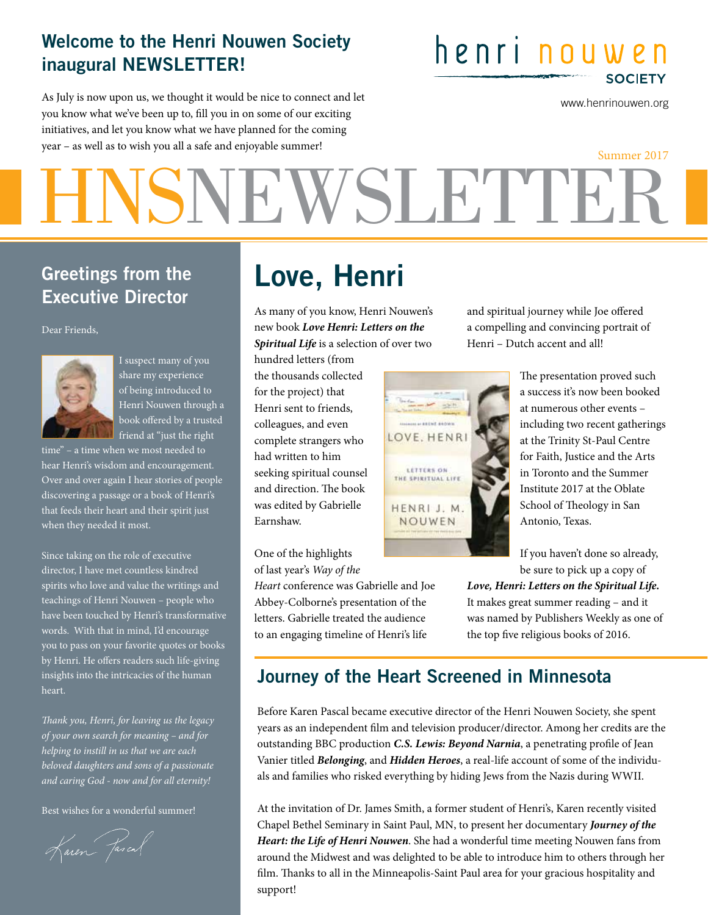#### Welcome to the Henri Nouwen Society inaugural NEWSLETTER!

As July is now upon us, we thought it would be nice to connect and let you know what we've been up to, fll you in on some of our exciting initiatives, and let you know what we have planned for the coming year – as well as to wish you all a safe and enjoyable summer!

## henri nouwen **SOCIETY**

www.henrinouwen.org

# HNSNEWSLETTER Summer 2017

#### Greetings from the Executive Director

Dear Friends,



I suspect many of you share my experience of being introduced to Henri Nouwen through a book offered by a trusted friend at "just the right

time" – a time when we most needed to hear Henri's wisdom and encouragement. Over and over again I hear stories of people discovering a passage or a book of Henri's that feeds their heart and their spirit just when they needed it most.

Since taking on the role of executive director, I have met countless kindred spirits who love and value the writings and teachings of Henri Nouwen – people who have been touched by Henri's transformative words. With that in mind, I'd encourage you to pass on your favorite quotes or books by Henri. He offers readers such life-giving insights into the intricacies of the human heart.

T*ank you, Henri, for leaving us the legacy of your own search for meaning – and for helping to instill in us that we are each beloved daughters and sons of a passionate and caring God - now and for all eternity!*

Best wishes for a wonderful summer!

Karen Jascal

## Love, Henri

As many of you know, Henri Nouwen's new book *Love Henri: Letters on the Spiritual Life* is a selection of over two

hundred letters (from the thousands collected for the project) that Henri sent to friends, colleagues, and even complete strangers who had written to him seeking spiritual counsel and direction. The book was edited by Gabrielle Earnshaw.

One of the highlights of last year's *Way of the* 

*Heart* conference was Gabrielle and Joe Abbey-Colborne's presentation of the letters. Gabrielle treated the audience to an engaging timeline of Henri's life



and spiritual journey while Joe ofered a compelling and convincing portrait of Henri – Dutch accent and all!

> The presentation proved such a success it's now been booked at numerous other events – including two recent gatherings at the Trinity St-Paul Centre for Faith, Justice and the Arts in Toronto and the Summer Institute 2017 at the Oblate School of Theology in San Antonio, Texas.

If you haven't done so already, be sure to pick up a copy of

*Love, Henri: Letters on the Spiritual Life.* It makes great summer reading – and it was named by Publishers Weekly as one of the top fve religious books of 2016.

#### Journey of the Heart Screened in Minnesota

Before Karen Pascal became executive director of the Henri Nouwen Society, she spent years as an independent flm and television producer/director. Among her credits are the outstanding BBC production *C.S. Lewis: Beyond Narnia*, a penetrating profle of Jean Vanier titled *Belonging*, and *Hidden Heroes*, a real-life account of some of the individuals and families who risked everything by hiding Jews from the Nazis during WWII.

At the invitation of Dr. James Smith, a former student of Henri's, Karen recently visited Chapel Bethel Seminary in Saint Paul, MN, to present her documentary *Journey of the Heart: the Life of Henri Nouwen*. She had a wonderful time meeting Nouwen fans from around the Midwest and was delighted to be able to introduce him to others through her film. Thanks to all in the Minneapolis-Saint Paul area for your gracious hospitality and support!